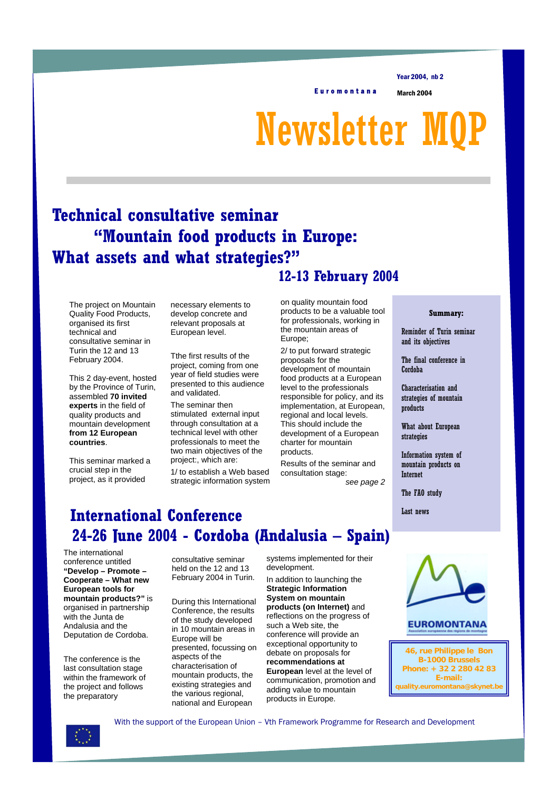Year 2004, nb 2

Euromontana March 2004

# Newsletter M

## **Technical consultative seminar "Mountain food products in Europe: What assets and what strategies?" 12-13 February 2004**

The project on Mountain Quality Food Products, organised its first technical and consultative seminar in Turin the 12 and 13 February 2004.

This 2 day-event, hosted by the Province of Turin, assembled **70 invited experts** in the field of quality products and mountain development **from 12 European countries**.

This seminar marked a crucial step in the project, as it provided

necessary elements to develop concrete and relevant proposals at European level.

Tthe first results of the project, coming from one year of field studies were presented to this audience and validated.

The seminar then stimulated external input through consultation at a technical level with other professionals to meet the two main objectives of the project:, which are:

1/ to establish a Web based strategic information system

on quality mountain food products to be a valuable tool for professionals, working in the mountain areas of Europe;

2/ to put forward strategic proposals for the development of mountain food products at a European level to the professionals responsible for policy, and its implementation, at European, regional and local levels. This should include the development of a European charter for mountain products.

Results of the seminar and consultation stage:

*see page 2*

### **International Conference 24-26 June 2004 - Cordoba (Andalusia – Spain)**

The international conference untitled **"Develop – Promote – Cooperate – What new European tools for mountain products?"** is organised in partnership with the Junta de Andalusia and the Deputation de Cordoba.

The conference is the last consultation stage within the framework of the project and follows the preparatory

consultative seminar held on the 12 and 13 February 2004 in Turin.

During this International Conference, the results of the study developed in 10 mountain areas in Europe will be presented, focussing on aspects of the characterisation of mountain products, the existing strategies and the various regional, national and European

systems implemented for their development.

In addition to launching the **Strategic Information System on mountain products (on Internet)** and reflections on the progress of such a Web site, the conference will provide an exceptional opportunity to debate on proposals for **recommendations at European** level at the level of communication, promotion and adding value to mountain products in Europe.



Reminder of Turin seminar and its objectives

The final conference in Cordoba

Characterisation and strategies of mountain products

What about European strategies

Information system of mountain products on Internet

The FAO study

Last news



**46, rue Philippe le Bon B-1000 Brussels Phone: + 32 2 280 42 83 E-mail: quality.euromontana@skynet.be**



With the support of the European Union – Vth Framework Programme for Research and Development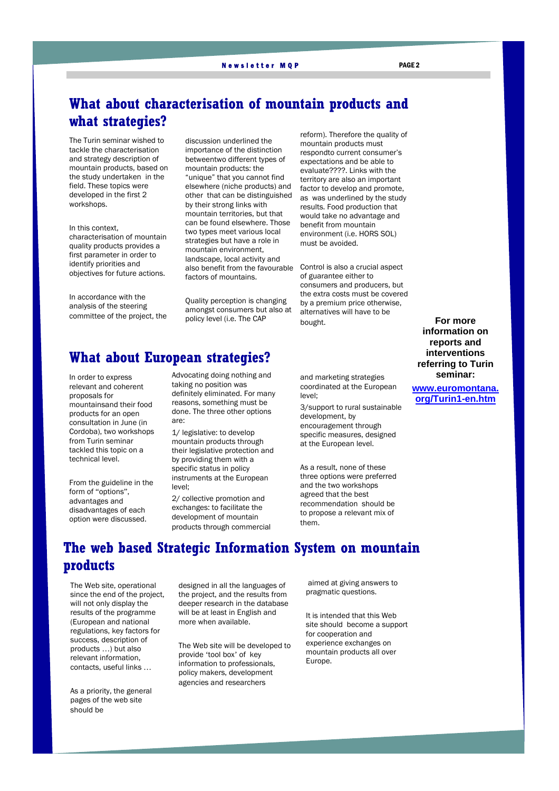#### Newsletter MQP PAGE 2

#### **What about characterisation of mountain products and what strategies?**

The Turin seminar wished to tackle the characterisation and strategy description of mountain products, based on the study undertaken in the field. These topics were developed in the first 2 workshops.

In this context, characterisation of mountain quality products provides a first parameter in order to identify priorities and objectives for future actions.

In accordance with the analysis of the steering committee of the project, the discussion underlined the importance of the distinction betweentwo different types of mountain products: the "unique" that you cannot find elsewhere (niche products) and other that can be distinguished by their strong links with mountain territories, but that can be found elsewhere. Those two types meet various local strategies but have a role in mountain environment, landscape, local activity and also benefit from the favourable Control is also a crucial aspect factors of mountains.

Quality perception is changing amongst consumers but also at policy level (i.e. The CAP

reform). Therefore the quality of mountain products must respondto current consumer's expectations and be able to evaluate????. Links with the territory are also an important factor to develop and promote, as was underlined by the study results. Food production that would take no advantage and benefit from mountain environment (i.e. HORS SOL) must be avoided.

of guarantee either to consumers and producers, but the extra costs must be covered by a premium price otherwise, alternatives will have to be bought.

#### **What about European strategies?**

In order to express relevant and coherent proposals for mountainsand their food products for an open consultation in June (in Cordoba), two workshops from Turin seminar tackled this topic on a technical level.

From the guideline in the form of "options", advantages and disadvantages of each option were discussed.

Advocating doing nothing and taking no position was definitely eliminated. For many reasons, something must be done. The three other options are:

1/ legislative: to develop mountain products through their legislative protection and by providing them with a specific status in policy instruments at the European level;

2/ collective promotion and exchanges: to facilitate the development of mountain products through commercial and marketing strategies coordinated at the European level;

3/support to rural sustainable development, by encouragement through specific measures, designed at the European level.

As a result, none of these three options were preferred and the two workshops agreed that the best recommendation should be to propose a relevant mix of them.

**For more information on reports and interventions referring to Turin seminar:** 

**www.euromontana. org/Turin1-en.htm**

#### **The web based Strategic Information System on mountain products**

The Web site, operational since the end of the project, will not only display the results of the programme (European and national regulations, key factors for success, description of products …) but also relevant information, contacts, useful links …

As a priority, the general pages of the web site should be

designed in all the languages of the project, and the results from deeper research in the database will be at least in English and more when available.

The Web site will be developed to provide 'tool box' of key information to professionals, policy makers, development agencies and researchers

 aimed at giving answers to pragmatic questions.

It is intended that this Web site should become a support for cooperation and experience exchanges on mountain products all over Europe.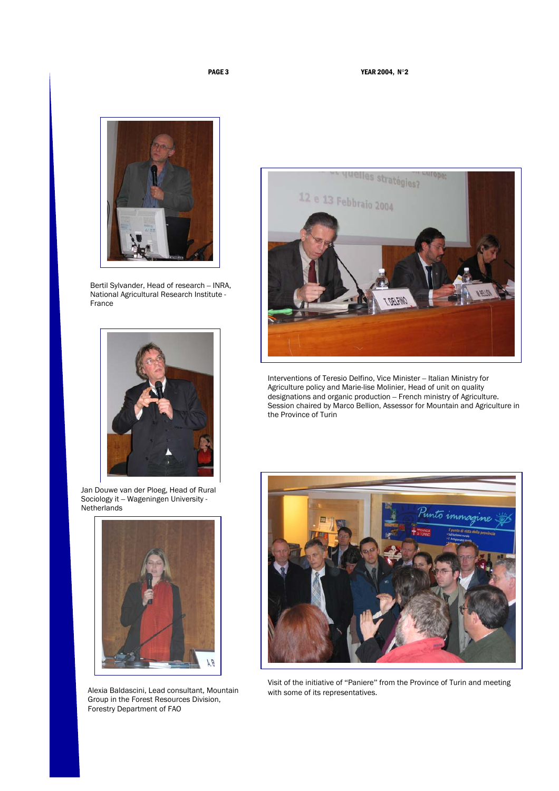

Bertil Sylvander, Head of research – INRA, National Agricultural Research Institute - France



Jan Douwe van der Ploeg, Head of Rural Sociology it – Wageningen University - **Netherlands** 



Alexia Baldascini, Lead consultant, Mountain Group in the Forest Resources Division, Forestry Department of FAO



Interventions of Teresio Delfino, Vice Minister – Italian Ministry for Agriculture policy and Marie-lise Molinier, Head of unit on quality designations and organic production – French ministry of Agriculture. Session chaired by Marco Bellion, Assessor for Mountain and Agriculture in the Province of Turin



Visit of the initiative of "Paniere" from the Province of Turin and meeting with some of its representatives.